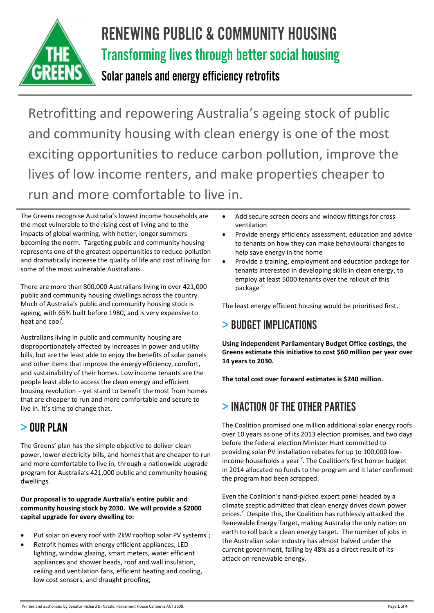

# RENEWING PUBLIC & COMMUNITY HOUSING Transforming lives through better social housing

# Solar panels and energy efficiency retrofits

Retrofitting and repowering Australia's ageing stock of public and community housing with clean energy is one of the most exciting opportunities to reduce carbon pollution, improve the lives of low income renters, and make properties cheaper to run and more comfortable to live in.

The Greens recognise Australia's lowest income households are the most vulnerable to the rising cost of living and to the impacts of global warming, with hotter, longer summers becoming the norm. Targeting public and community housing represents one of the greatest opportunities to reduce pollution and dramatically increase the quality of life and cost of living for some of the most vulnerable Australians.

There are more than 800,000 Australians living in over 421,000 public and community housing dwellings across the country. Much of Australia's public and community housing stock is ageing, with 65% built before 1980, and is very expensive to heat and cool<sup>i</sup>.

Australians living in public and community housing are disproportionately affected by increases in power and utility bills, but are the least able to enjoy the benefits of solar panels and other items that improve the energy efficiency, comfort, and sustainability of their homes. Low income tenants are the people least able to access the clean energy and efficient housing revolution – yet stand to benefit the most from homes that are cheaper to run and more comfortable and secure to live in. It's time to change that.

# > OUR PLAN

The Greens' plan has the simple objective to deliver clean power, lower electricity bills, and homes that are cheaper to run and more comfortable to live in, through a nationwide upgrade program for Australia's 421,000 public and community housing dwellings.

**Our proposal is to upgrade Australia's entire public and community housing stock by 2030. We will provide a \$2000 capital upgrade for every dwelling to:** 

- Put solar on every roof with 2kW rooftop solar PV systems";
- Retrofit homes with energy efficient appliances, LED lighting, window glazing, smart meters, water efficient appliances and shower heads, roof and wall insulation, ceiling and ventilation fans, efficient heating and cooling, low cost sensors, and draught proofing;
- Add secure screen doors and window fittings for cross ventilation
- Provide energy efficiency assessment, education and advice to tenants on how they can make behavioural changes to help save energy in the home
- Provide a training, employment and education package for tenants interested in developing skills in clean energy, to employ at least 5000 tenants over the rollout of this package<sup>iii</sup>

The least energy efficient housing would be prioritised first.

# > BUDGET IMPLICATIONS

**Using independent Parliamentary Budget Office costings, the Greens estimate this initiative to cost \$60 million per year over 14 years to 2030.** 

**The total cost over forward estimates is \$240 million.**

# > INACTION OF THEOTHER PARTIES

The Coalition promised one million additional solar energy roofs over 10 years as one of its 2013 election promises, and two days before the federal election Minister Hunt committed to providing solar PV installation rebates for up to 100,000 lowincome households a year<sup>iv</sup>. The Coalition's first horror budget in 2014 allocated no funds to the program and it later confirmed the program had been scrapped.

Even the Coalition's hand-picked expert panel headed by a climate sceptic admitted that clean energy drives down power prices. <sup>V</sup> Despite this, the Coalition has ruthlessly attacked the Renewable Energy Target, making Australia the only nation on earth to roll back a clean energy target. The number of jobs in the Australian solar industry has almost halved under the current government, falling by 48% as a direct result of its attack on renewable energy.

Printed and authorised by Senator Richard Di Natale, Parliament House Canberra ACT 2600.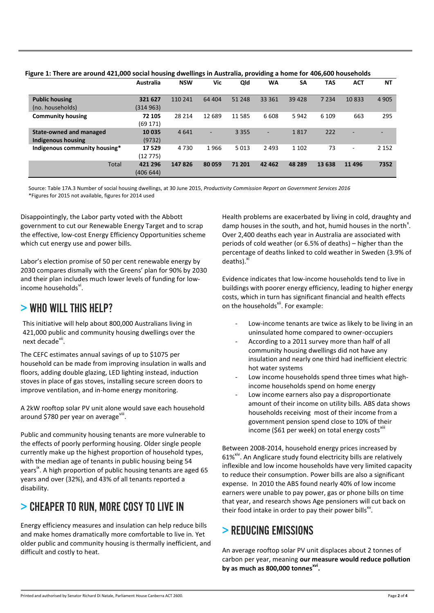|                               | Australia | <b>NSW</b> | Vic    | Qld     | WA      | <b>SA</b> | <b>TAS</b> | <b>ACT</b> | ΝT      |
|-------------------------------|-----------|------------|--------|---------|---------|-----------|------------|------------|---------|
|                               |           |            |        |         |         |           |            |            |         |
| <b>Public housing</b>         | 321 627   | 110 241    | 64 404 | 51 248  | 33 361  | 39 4 28   | 7 2 3 4    | 10833      | 4 9 0 5 |
| (no. households)              | (314 963) |            |        |         |         |           |            |            |         |
| <b>Community housing</b>      | 72 105    | 28 214     | 12 689 | 11 585  | 6608    | 5942      | 6 1 0 9    | 663        | 295     |
|                               | (69 171)  |            |        |         |         |           |            |            |         |
| State-owned and managed       | 10 035    | 4641       | -      | 3 3 5 5 | ۰       | 1817      | 222        | -          |         |
| Indigenous housing            | (9732)    |            |        |         |         |           |            |            |         |
| Indigenous community housing* | 17529     | 4730       | 1966   | 5013    | 2 4 9 3 | 1 1 0 2   | 73         | ٠          | 2 1 5 2 |
|                               | (12 775)  |            |        |         |         |           |            |            |         |
| Total                         | 421 296   | 147826     | 80 059 | 71 201  | 42 4 62 | 48 289    | 13 638     | 11 4 9 6   | 7352    |
|                               | (406 644) |            |        |         |         |           |            |            |         |

**Figure 1: There are around 421,000 social housing dwellings in Australia, providing a home for 406,600 households**

Source: Table 17A.3 Number of social housing dwellings, at 30 June 2015, *Productivity Commission Report on Government Services 2016* \*Figures for 2015 not available, figures for 2014 used

Disappointingly, the Labor party voted with the Abbott government to cut our Renewable Energy Target and to scrap the effective, low-cost Energy Efficiency Opportunities scheme which cut energy use and power bills.

Labor's election promise of 50 per cent renewable energy by 2030 compares dismally with the Greens' plan for 90% by 2030 and their plan includes much lower levels of funding for lowincome households<sup>vi</sup>.

### > WHO WILL THIS HELP?

This initiative will help about 800,000 Australians living in 421,000 public and community housing dwellings over the next decade<sup>vii</sup>.

The CEFC estimates annual savings of up to \$1075 per household can be made from improving insulation in walls and floors, adding double glazing, LED lighting instead, induction stoves in place of gas stoves, installing secure screen doors to improve ventilation, and in-home energy monitoring.

A 2kW rooftop solar PV unit alone would save each household around \$780 per year on average<sup>viii</sup>.

Public and community housing tenants are more vulnerable to the effects of poorly performing housing. Older single people currently make up the highest proportion of household types, with the median age of tenants in public housing being 54 years<sup>ix</sup>. A high proportion of public housing tenants are aged 65 years and over (32%), and 43% of all tenants reported a disability.

### > CHEAPER TO RUN, MORE COSY TO LIVE IN

Energy efficiency measures and insulation can help reduce bills and make homes dramatically more comfortable to live in. Yet older public and community housing is thermally inefficient, and difficult and costly to heat.

Health problems are exacerbated by living in cold, draughty and damp houses in the south, and hot, humid houses in the north $^{\mathsf{x}}$ . Over 2,400 deaths each year in Australia are associated with periods of cold weather (or 6.5% of deaths) – higher than the percentage of deaths linked to cold weather in Sweden (3.9% of deaths).<sup>xi</sup>

Evidence indicates that low-income households tend to live in buildings with poorer energy efficiency, leading to higher energy costs, which in turn has significant financial and health effects on the households<sup>xii</sup>. For example:

- Low-income tenants are twice as likely to be living in an uninsulated home compared to owner-occupiers
- According to a 2011 survey more than half of all community housing dwellings did not have any insulation and nearly one third had inefficient electric hot water systems
- Low income households spend three times what highincome households spend on home energy
- Low income earners also pay a disproportionate amount of their income on utility bills. ABS data shows households receiving most of their income from a government pension spend close to 10% of their income (\$61 per week) on total energy costs<sup>xiii</sup>

Between 2008-2014, household energy prices increased by 61%<sup>xiv</sup>. An Anglicare study found electricity bills are relatively inflexible and low income households have very limited capacity to reduce their consumption. Power bills are also a significant expense. In 2010 the ABS found nearly 40% of low income earners were unable to pay power, gas or phone bills on time that year, and research shows Age pensioners will cut back on their food intake in order to pay their power bills $^{x}$ .

# > REDUCING EMISSIONS

An average rooftop solar PV unit displaces about 2 tonnes of carbon per year, meaning **our measure would reduce pollution by as much as 800,000 tonnesxvi .**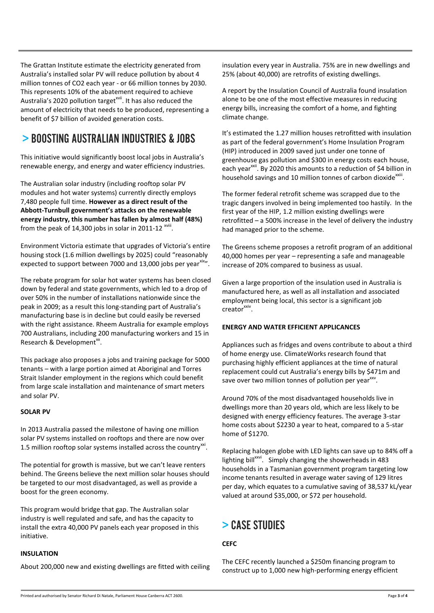The Grattan Institute estimate the electricity generated from Australia's installed solar PV will reduce pollution by about 4 million tonnes of CO2 each year - or 66 million tonnes by 2030. This represents 10% of the abatement required to achieve Australia's 2020 pollution target<sup>xvii</sup>. It has also reduced the amount of electricity that needs to be produced, representing a benefit of \$7 billion of avoided generation costs.

### > BOOSTING AUSTRALIAN INDUSTRIES & JOBS

This initiative would significantly boost local jobs in Australia's renewable energy, and energy and water efficiency industries.

The Australian solar industry (including rooftop solar PV modules and hot water systems) currently directly employs 7,480 people full time. **However as a direct result of the Abbott-Turnbull government's attacks on the renewable energy industry, this number has fallen by almost half (48%)** from the peak of 14,300 jobs in solar in 2011-12  $\text{xwii}$ .

Environment Victoria estimate that upgrades of Victoria's entire housing stock (1.6 million dwellings by 2025) could "reasonably expected to support between 7000 and 13,000 jobs per year $x^{x}$ .

The rebate program for solar hot water systems has been closed down by federal and state governments, which led to a drop of over 50% in the number of installations nationwide since the peak in 2009; as a result this long-standing part of Australia's manufacturing base is in decline but could easily be reversed with the right assistance. Rheem Australia for example employs 700 Australians, including 200 manufacturing workers and 15 in Research & Development<sup>xx</sup>.

This package also proposes a jobs and training package for 5000 tenants – with a large portion aimed at Aboriginal and Torres Strait Islander employment in the regions which could benefit from large scale installation and maintenance of smart meters and solar PV.

#### **SOLAR PV**

In 2013 Australia passed the milestone of having one million solar PV systems installed on rooftops and there are now over 1.5 million rooftop solar systems installed across the country $^{xxi}$ .

The potential for growth is massive, but we can't leave renters behind. The Greens believe the next million solar houses should be targeted to our most disadvantaged, as well as provide a boost for the green economy.

This program would bridge that gap. The Australian solar industry is well regulated and safe, and has the capacity to install the extra 40,000 PV panels each year proposed in this initiative.

#### **INSULATION**

About 200,000 new and existing dwellings are fitted with ceiling

insulation every year in Australia. 75% are in new dwellings and 25% (about 40,000) are retrofits of existing dwellings.

A report by the Insulation Council of Australia found insulation alone to be one of the most effective measures in reducing energy bills, increasing the comfort of a home, and fighting climate change.

It's estimated the 1.27 million houses retrofitted with insulation as part of the federal government's Home Insulation Program (HIP) introduced in 2009 saved just under one tonne of greenhouse gas pollution and \$300 in energy costs each house, each year<sup>xxii</sup>. By 2020 this amounts to a reduction of \$4 billion in household savings and 10 million tonnes of carbon dioxide $^{x}$ .

The former federal retrofit scheme was scrapped due to the tragic dangers involved in being implemented too hastily. In the first year of the HIP, 1.2 million existing dwellings were retrofitted – a 500% increase in the level of delivery the industry had managed prior to the scheme.

The Greens scheme proposes a retrofit program of an additional 40,000 homes per year – representing a safe and manageable increase of 20% compared to business as usual.

Given a large proportion of the insulation used in Australia is manufactured here, as well as all installation and associated employment being local, this sector is a significant job creator<sup>xxiv</sup>.

#### **ENERGY AND WATER EFFICIENT APPLICANCES**

Appliances such as fridges and ovens contribute to about a third of home energy use. ClimateWorks research found that purchasing highly efficient appliances at the time of natural replacement could cut Australia's energy bills by \$471m and save over two million tonnes of pollution per year<sup>xxv</sup>.

Around 70% of the most disadvantaged households live in dwellings more than 20 years old, which are less likely to be designed with energy efficiency features. The average 3-star home costs about \$2230 a year to heat, compared to a 5-star home of \$1270.

Replacing halogen globe with LED lights can save up to 84% off a lighting bill<sup>xxvi</sup>. Simply changing the showerheads in 483 households in a Tasmanian government program targeting low income tenants resulted in average water saving of 129 litres per day, which equates to a cumulative saving of 38,537 kL/year valued at around \$35,000, or \$72 per household.

### > CASE STUDIES

#### **CEFC**

The CEFC recently launched a \$250m financing program to construct up to 1,000 new high-performing energy efficient